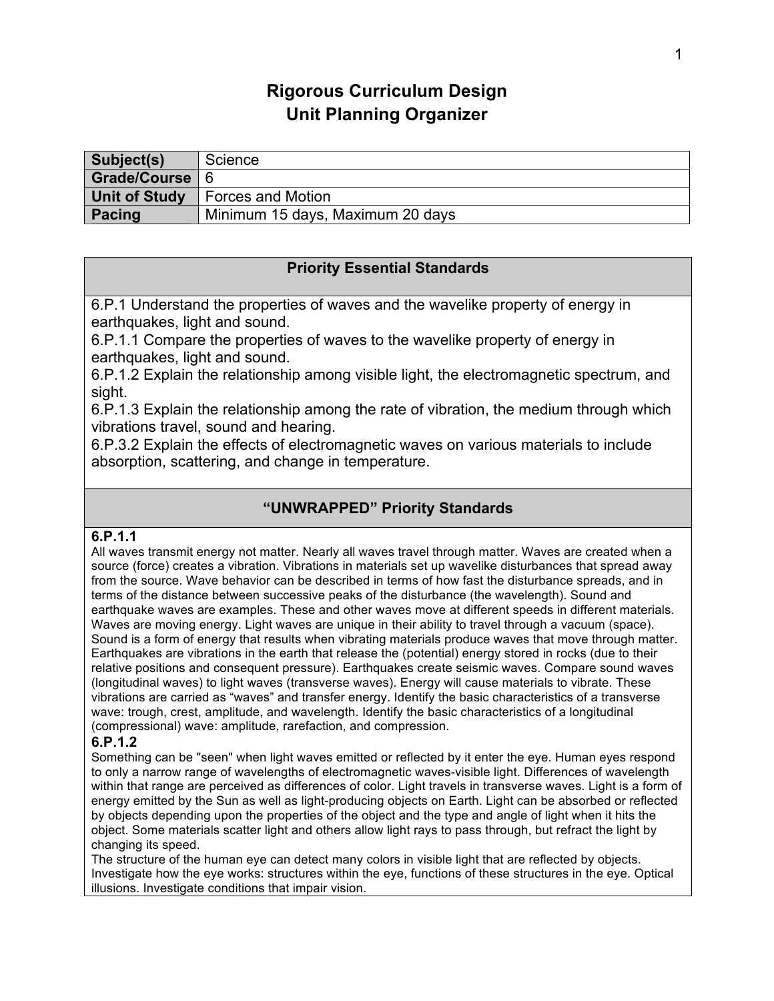# **Rigorous Curriculum Design Unit Planning Organizer**

| Subject(s)    | Science                          |
|---------------|----------------------------------|
| Grade/Course  |                                  |
| Unit of Study | Forces and Motion                |
| Pacing        | Minimum 15 days, Maximum 20 days |

# **Priority Essential Standards**

6.P.1 Understand the properties of waves and the wavelike property of energy in earthquakes, light and sound.

6.P.1.1 Compare the properties of waves to the wavelike property of energy in earthquakes, light and sound.

6.P.1.2 Explain the relationship among visible light, the electromagnetic spectrum, and sight.

6.P.1.3 Explain the relationship among the rate of vibration, the medium through which vibrations travel, sound and hearing.

6.P.3.2 Explain the effects of electromagnetic waves on various materials to include absorption, scattering, and change in temperature.

# **"UNWRAPPED" Priority Standards**

#### **6.P.1.1**

All waves transmit energy not matter. Nearly all waves travel through matter. Waves are created when a source (force) creates a vibration. Vibrations in materials set up wavelike disturbances that spread away from the source. Wave behavior can be described in terms of how fast the disturbance spreads, and in terms of the distance between successive peaks of the disturbance (the wavelength). Sound and earthquake waves are examples. These and other waves move at different speeds in different materials. Waves are moving energy. Light waves are unique in their ability to travel through a vacuum (space). Sound is a form of energy that results when vibrating materials produce waves that move through matter. Earthquakes are vibrations in the earth that release the (potential) energy stored in rocks (due to their relative positions and consequent pressure). Earthquakes create seismic waves. Compare sound waves (longitudinal waves) to light waves (transverse waves). Energy will cause materials to vibrate. These vibrations are carried as "waves" and transfer energy. Identify the basic characteristics of a transverse wave: trough, crest, amplitude, and wavelength. Identify the basic characteristics of a longitudinal (compressional) wave: amplitude, rarefaction, and compression.

#### **6.P.1.2**

Something can be "seen" when light waves emitted or reflected by it enter the eye. Human eyes respond to only a narrow range of wavelengths of electromagnetic waves-visible light. Differences of wavelength within that range are perceived as differences of color. Light travels in transverse waves. Light is a form of energy emitted by the Sun as well as light-producing objects on Earth. Light can be absorbed or reflected by objects depending upon the properties of the object and the type and angle of light when it hits the object. Some materials scatter light and others allow light rays to pass through, but refract the light by changing its speed.

The structure of the human eye can detect many colors in visible light that are reflected by objects. Investigate how the eye works: structures within the eye, functions of these structures in the eye. Optical illusions. Investigate conditions that impair vision.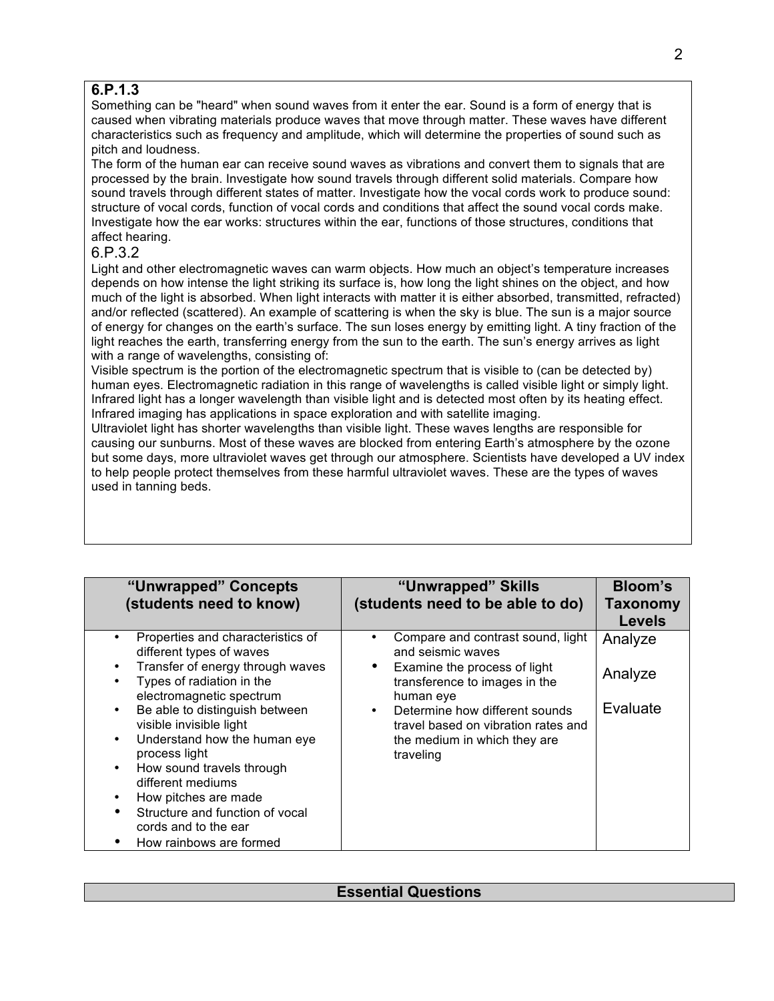# **6.P.1.3**

Something can be "heard" when sound waves from it enter the ear. Sound is a form of energy that is caused when vibrating materials produce waves that move through matter. These waves have different characteristics such as frequency and amplitude, which will determine the properties of sound such as pitch and loudness.

The form of the human ear can receive sound waves as vibrations and convert them to signals that are processed by the brain. Investigate how sound travels through different solid materials. Compare how sound travels through different states of matter. Investigate how the vocal cords work to produce sound: structure of vocal cords, function of vocal cords and conditions that affect the sound vocal cords make. Investigate how the ear works: structures within the ear, functions of those structures, conditions that affect hearing.

### 6.P.3.2

Light and other electromagnetic waves can warm objects. How much an object's temperature increases depends on how intense the light striking its surface is, how long the light shines on the object, and how much of the light is absorbed. When light interacts with matter it is either absorbed, transmitted, refracted) and/or reflected (scattered). An example of scattering is when the sky is blue. The sun is a major source of energy for changes on the earth's surface. The sun loses energy by emitting light. A tiny fraction of the light reaches the earth, transferring energy from the sun to the earth. The sun's energy arrives as light with a range of wavelengths, consisting of:

Visible spectrum is the portion of the electromagnetic spectrum that is visible to (can be detected by) human eyes. Electromagnetic radiation in this range of wavelengths is called visible light or simply light. Infrared light has a longer wavelength than visible light and is detected most often by its heating effect. Infrared imaging has applications in space exploration and with satellite imaging.

Ultraviolet light has shorter wavelengths than visible light. These waves lengths are responsible for causing our sunburns. Most of these waves are blocked from entering Earth's atmosphere by the ozone but some days, more ultraviolet waves get through our atmosphere. Scientists have developed a UV index to help people protect themselves from these harmful ultraviolet waves. These are the types of waves used in tanning beds.

| "Unwrapped" Concepts<br>(students need to know)                                                                                                                                                                                                                                                                                                                                                                                                                                                                                  | "Unwrapped" Skills<br>(students need to be able to do)                                                                                                                                                                                                     | <b>Bloom's</b><br>Taxonomy<br><b>Levels</b> |
|----------------------------------------------------------------------------------------------------------------------------------------------------------------------------------------------------------------------------------------------------------------------------------------------------------------------------------------------------------------------------------------------------------------------------------------------------------------------------------------------------------------------------------|------------------------------------------------------------------------------------------------------------------------------------------------------------------------------------------------------------------------------------------------------------|---------------------------------------------|
| Properties and characteristics of<br>$\bullet$<br>different types of waves<br>Transfer of energy through waves<br>٠<br>Types of radiation in the<br>$\bullet$<br>electromagnetic spectrum<br>Be able to distinguish between<br>$\bullet$<br>visible invisible light<br>Understand how the human eye<br>$\bullet$<br>process light<br>How sound travels through<br>$\bullet$<br>different mediums<br>How pitches are made<br>٠<br>Structure and function of vocal<br>$\bullet$<br>cords and to the ear<br>How rainbows are formed | Compare and contrast sound, light<br>and seismic waves<br>Examine the process of light<br>transference to images in the<br>human eye<br>Determine how different sounds<br>travel based on vibration rates and<br>the medium in which they are<br>traveling | Analyze<br>Analyze<br>Evaluate              |

# **Essential Questions**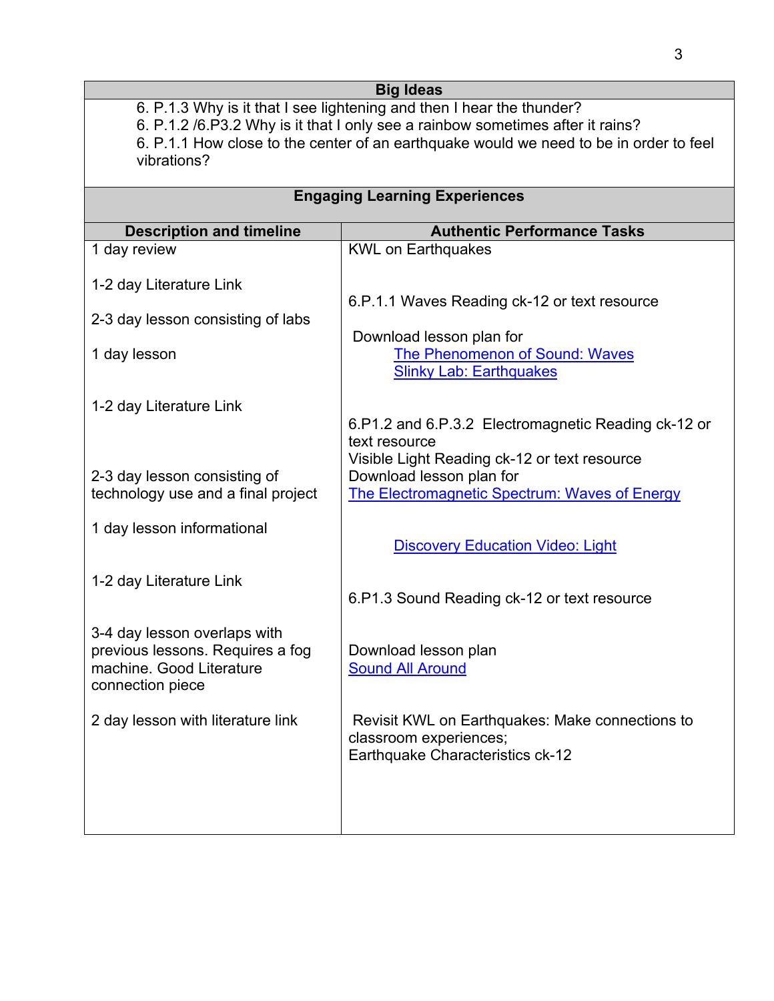|                                                                       | <b>Big Ideas</b>                                                                       |  |  |
|-----------------------------------------------------------------------|----------------------------------------------------------------------------------------|--|--|
| 6. P.1.3 Why is it that I see lightening and then I hear the thunder? |                                                                                        |  |  |
|                                                                       | 6. P.1.2 /6. P3.2 Why is it that I only see a rainbow sometimes after it rains?        |  |  |
|                                                                       | 6. P.1.1 How close to the center of an earthquake would we need to be in order to feel |  |  |
| vibrations?                                                           |                                                                                        |  |  |
| <b>Engaging Learning Experiences</b>                                  |                                                                                        |  |  |
| <b>Description and timeline</b>                                       | <b>Authentic Performance Tasks</b>                                                     |  |  |
| 1 day review                                                          | <b>KWL on Earthquakes</b>                                                              |  |  |
|                                                                       |                                                                                        |  |  |
| 1-2 day Literature Link                                               |                                                                                        |  |  |
|                                                                       | 6.P.1.1 Waves Reading ck-12 or text resource                                           |  |  |
| 2-3 day lesson consisting of labs                                     |                                                                                        |  |  |
|                                                                       | Download lesson plan for                                                               |  |  |
| 1 day lesson                                                          | The Phenomenon of Sound: Waves                                                         |  |  |
|                                                                       | <b>Slinky Lab: Earthquakes</b>                                                         |  |  |
| 1-2 day Literature Link                                               |                                                                                        |  |  |
|                                                                       | 6.P1.2 and 6.P.3.2 Electromagnetic Reading ck-12 or                                    |  |  |
|                                                                       | text resource                                                                          |  |  |
|                                                                       | Visible Light Reading ck-12 or text resource                                           |  |  |
| 2-3 day lesson consisting of                                          | Download lesson plan for                                                               |  |  |
| technology use and a final project                                    | <b>The Electromagnetic Spectrum: Waves of Energy</b>                                   |  |  |
| 1 day lesson informational                                            |                                                                                        |  |  |
|                                                                       | <b>Discovery Education Video: Light</b>                                                |  |  |
|                                                                       |                                                                                        |  |  |
| 1-2 day Literature Link                                               |                                                                                        |  |  |
|                                                                       | 6.P1.3 Sound Reading ck-12 or text resource                                            |  |  |
|                                                                       |                                                                                        |  |  |
| 3-4 day lesson overlaps with<br>previous lessons. Requires a fog      | Download lesson plan                                                                   |  |  |
| machine. Good Literature                                              | <b>Sound All Around</b>                                                                |  |  |
| connection piece                                                      |                                                                                        |  |  |
|                                                                       |                                                                                        |  |  |
| 2 day lesson with literature link                                     | Revisit KWL on Earthquakes: Make connections to                                        |  |  |
|                                                                       | classroom experiences;                                                                 |  |  |
|                                                                       | Earthquake Characteristics ck-12                                                       |  |  |
|                                                                       |                                                                                        |  |  |
|                                                                       |                                                                                        |  |  |
|                                                                       |                                                                                        |  |  |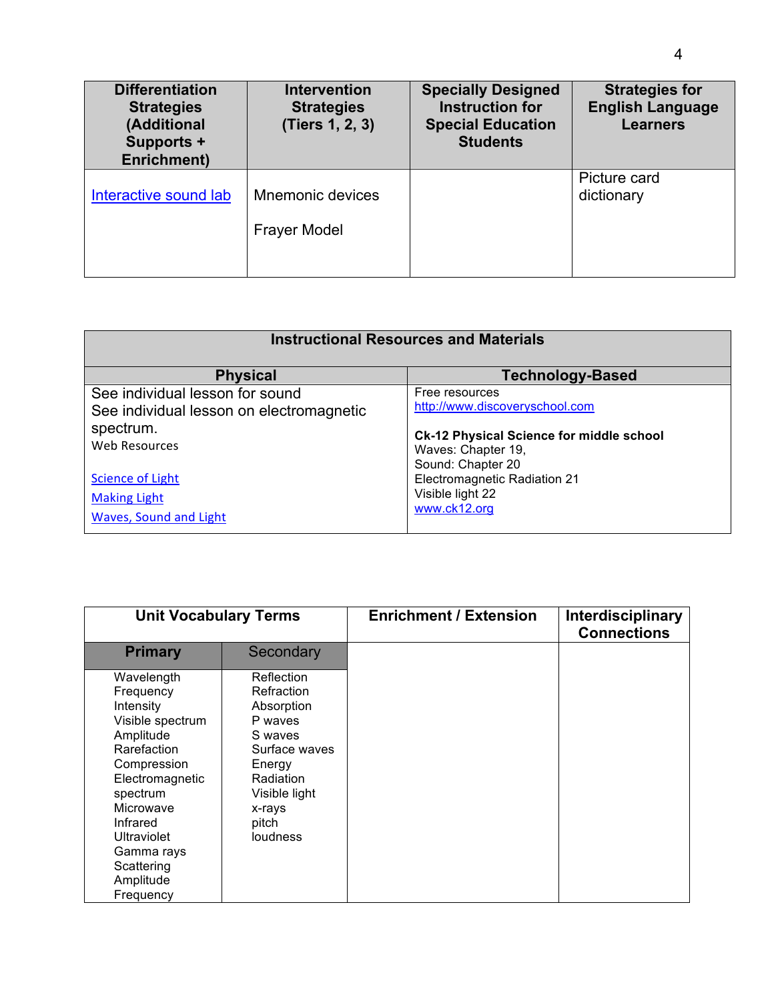| <b>Differentiation</b><br><b>Strategies</b><br>(Additional<br>Supports +<br>Enrichment) | <b>Intervention</b><br><b>Strategies</b><br>(Tiers 1, 2, 3) | <b>Specially Designed</b><br><b>Instruction for</b><br><b>Special Education</b><br><b>Students</b> | <b>Strategies for</b><br><b>English Language</b><br><b>Learners</b> |
|-----------------------------------------------------------------------------------------|-------------------------------------------------------------|----------------------------------------------------------------------------------------------------|---------------------------------------------------------------------|
| Interactive sound lab                                                                   | Mnemonic devices<br><b>Frayer Model</b>                     |                                                                                                    | Picture card<br>dictionary                                          |

| <b>Instructional Resources and Materials</b> |                                                 |  |
|----------------------------------------------|-------------------------------------------------|--|
| <b>Physical</b>                              | <b>Technology-Based</b>                         |  |
| See individual lesson for sound              | Free resources                                  |  |
| See individual lesson on electromagnetic     | http://www.discoveryschool.com                  |  |
| spectrum.                                    | <b>Ck-12 Physical Science for middle school</b> |  |
| Web Resources                                | Waves: Chapter 19,                              |  |
|                                              | Sound: Chapter 20                               |  |
| <b>Science of Light</b>                      | Electromagnetic Radiation 21                    |  |
| <b>Making Light</b>                          | Visible light 22                                |  |
| Waves, Sound and Light                       | www.ck12.org                                    |  |

| <b>Unit Vocabulary Terms</b> |                 | <b>Enrichment / Extension</b> | Interdisciplinary<br><b>Connections</b> |
|------------------------------|-----------------|-------------------------------|-----------------------------------------|
| <b>Primary</b>               | Secondary       |                               |                                         |
| Wavelength                   | Reflection      |                               |                                         |
| Frequency                    | Refraction      |                               |                                         |
| Intensity                    | Absorption      |                               |                                         |
| Visible spectrum             | P waves         |                               |                                         |
| Amplitude                    | S waves         |                               |                                         |
| Rarefaction                  | Surface waves   |                               |                                         |
| Compression                  | Energy          |                               |                                         |
| Electromagnetic              | Radiation       |                               |                                         |
| spectrum                     | Visible light   |                               |                                         |
| Microwave                    | x-rays          |                               |                                         |
| Infrared                     | pitch           |                               |                                         |
| <b>Ultraviolet</b>           | <b>loudness</b> |                               |                                         |
| Gamma rays                   |                 |                               |                                         |
| Scattering                   |                 |                               |                                         |
| Amplitude                    |                 |                               |                                         |
| Frequency                    |                 |                               |                                         |